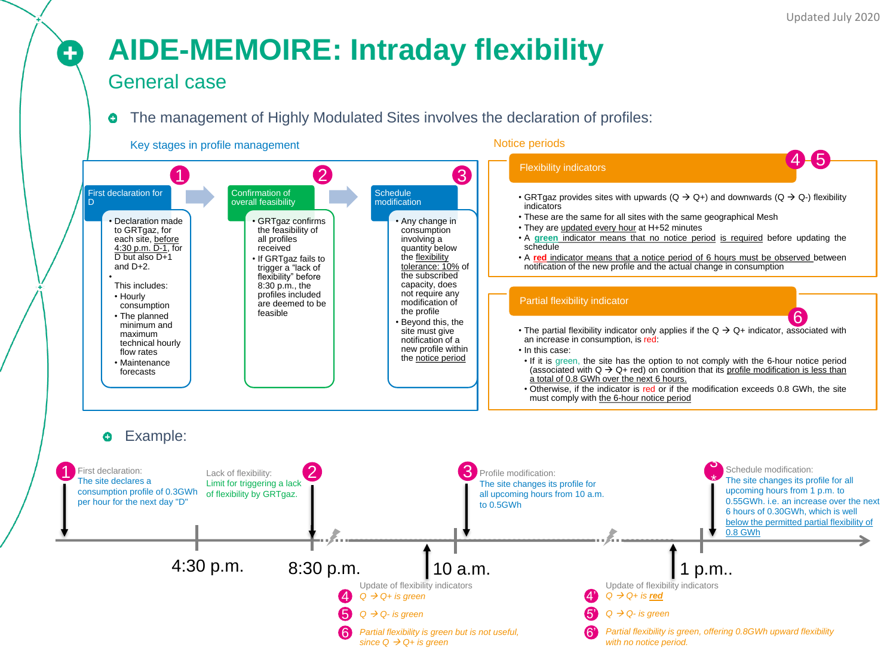# **AIDE-MEMOIRE: Intraday flexibility**

### General case

0

#### The management of Highly Modulated Sites involves the declaration of profiles: ۰

#### Key stages in profile management

#### Notice periods